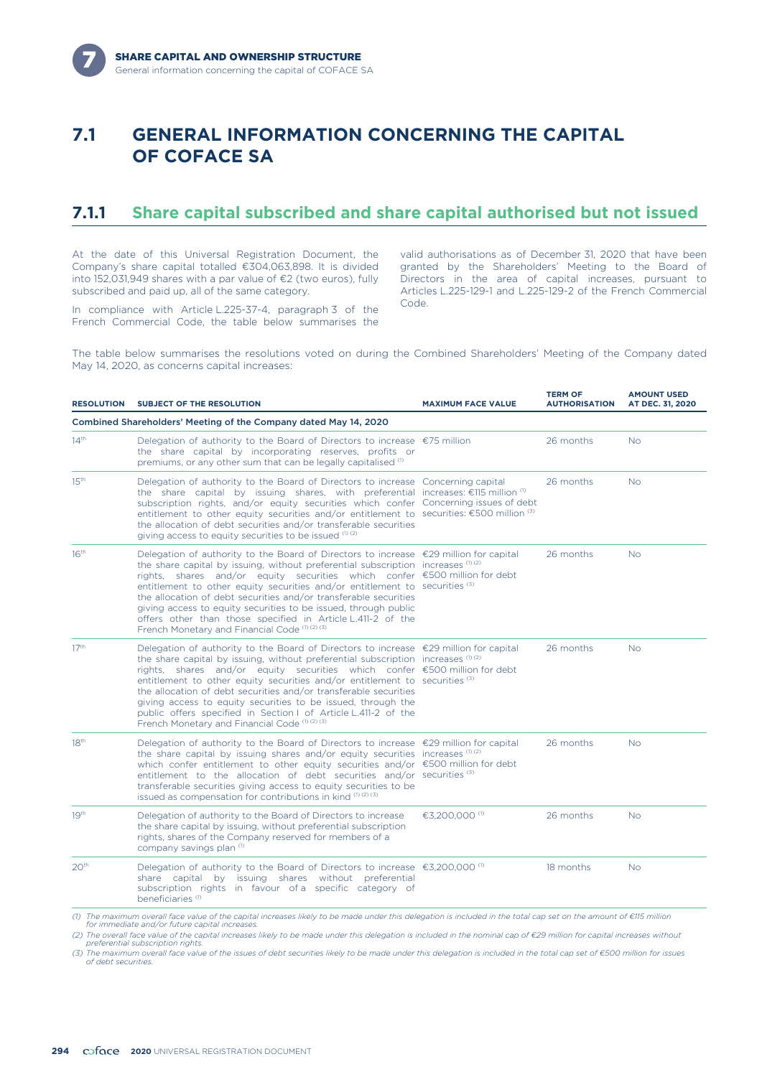

### **7.1 GENERAL INFORMATION CONCERNING THE CAPITAL OF COFACE SA**

### **7.1.1 Share capital subscribed and share capital authorised but not issued**

At the date of this Universal Registration Document, the Company's share capital totalled €304,063,898. It is divided into 152,031,949 shares with a par value of €2 (two euros), fully subscribed and paid up, all of the same category.

Code. In compliance with Article L.225-37-4, paragraph 3 of the French Commercial Code, the table below summarises the

valid authorisations as of December 31, 2020 that have been granted by the Shareholders' Meeting to the Board of Directors in the area of capital increases, pursuant to Articles L.225-129-1 and L.225-129-2 of the French Commercial

**TERM OF**

**AMOUNT USED**

The table below summarises the resolutions voted on during the Combined Shareholders' Meeting of the Company dated May 14, 2020, as concerns capital increases:

| <b>SUBJECT OF THE RESOLUTION</b><br><b>RESOLUTION</b> |                                                                                                                                                                                                                                                                                                                                                                                                                                                                                                                                                                                                                        | <b>MAXIMUM FACE VALUE</b> | .<br><b>AUTHORISATION</b> | שפט ויישטח<br>AT DEC. 31, 2020 |  |
|-------------------------------------------------------|------------------------------------------------------------------------------------------------------------------------------------------------------------------------------------------------------------------------------------------------------------------------------------------------------------------------------------------------------------------------------------------------------------------------------------------------------------------------------------------------------------------------------------------------------------------------------------------------------------------------|---------------------------|---------------------------|--------------------------------|--|
|                                                       | Combined Shareholders' Meeting of the Company dated May 14, 2020                                                                                                                                                                                                                                                                                                                                                                                                                                                                                                                                                       |                           |                           |                                |  |
| $14^{\text{th}}$                                      | Delegation of authority to the Board of Directors to increase $\epsilon$ 75 million<br>the share capital by incorporating reserves, profits or<br>premiums, or any other sum that can be legally capitalised <sup>(1)</sup>                                                                                                                                                                                                                                                                                                                                                                                            |                           | 26 months                 | <b>No</b>                      |  |
| 15 <sup>th</sup>                                      | Delegation of authority to the Board of Directors to increase Concerning capital<br>the share capital by issuing shares, with preferential increases: $\epsilon$ 115 million $\sigma$<br>subscription rights, and/or equity securities which confer Concerning issues of debt<br>entitlement to other equity securities and/or entitlement to securities: $€500$ million $(3)$<br>the allocation of debt securities and/or transferable securities<br>giving access to equity securities to be issued $(1)(2)$                                                                                                         |                           | 26 months                 | <b>No</b>                      |  |
| 16 <sup>th</sup>                                      | Delegation of authority to the Board of Directors to increase $\epsilon$ 29 million for capital<br>the share capital by issuing, without preferential subscription increases (1) (2)<br>rights, shares and/or equity securities which confer €500 million for debt<br>entitlement to other equity securities and/or entitlement to securities $(3)$<br>the allocation of debt securities and/or transferable securities<br>giving access to equity securities to be issued, through public<br>offers other than those specified in Article L.411-2 of the<br>French Monetary and Financial Code (1) (2) (3)            |                           | 26 months                 | <b>No</b>                      |  |
| 17 <sup>th</sup>                                      | Delegation of authority to the Board of Directors to increase $\epsilon$ 29 million for capital<br>the share capital by issuing, without preferential subscription increases $(1)$ (2)<br>rights, shares and/or equity securities which confer €500 million for debt<br>entitlement to other equity securities and/or entitlement to securities <sup>(3)</sup><br>the allocation of debt securities and/or transferable securities<br>giving access to equity securities to be issued, through the<br>public offers specified in Section I of Article L.411-2 of the<br>French Monetary and Financial Code (1) (2) (3) |                           | 26 months                 | <b>No</b>                      |  |
| 18 <sup>th</sup>                                      | Delegation of authority to the Board of Directors to increase €29 million for capital<br>the share capital by issuing shares and/or equity securities increases $(1)$ (2)<br>which confer entitlement to other equity securities and/or $\epsilon$ 500 million for debt<br>entitlement to the allocation of debt securities and/or securities $(3)$<br>transferable securities giving access to equity securities to be<br>issued as compensation for contributions in kind $(1)(2)(3)$                                                                                                                                |                           | 26 months                 | <b>No</b>                      |  |
| 19 <sup>th</sup>                                      | Delegation of authority to the Board of Directors to increase<br>the share capital by issuing, without preferential subscription<br>rights, shares of the Company reserved for members of a<br>company savings plan (1)                                                                                                                                                                                                                                                                                                                                                                                                | €3,200,000 <sup>(1)</sup> | 26 months                 | <b>No</b>                      |  |
| 20 <sup>th</sup>                                      | Delegation of authority to the Board of Directors to increase $€3,200,000$ <sup>(0)</sup><br>share capital by issuing shares without preferential<br>subscription rights in favour of a specific category of<br>beneficiaries <sup>(1)</sup>                                                                                                                                                                                                                                                                                                                                                                           |                           | 18 months                 | <b>No</b>                      |  |
|                                                       | (1) The maximum overall face value of the capital increases likely to be made under this delegation is included in the total cap set on the amount of €115 million                                                                                                                                                                                                                                                                                                                                                                                                                                                     |                           |                           |                                |  |

*for immediate and/or future capital increases. (2) The overall face value of the capital increases likely to be made under this delegation is included in the nominal cap of €29 million for capital increases without preferential subscription rights.*

*(3) The maximum overall face value of the issues of debt securities likely to be made under this delegation is included in the total cap set of €500 million for issues of debt securities.*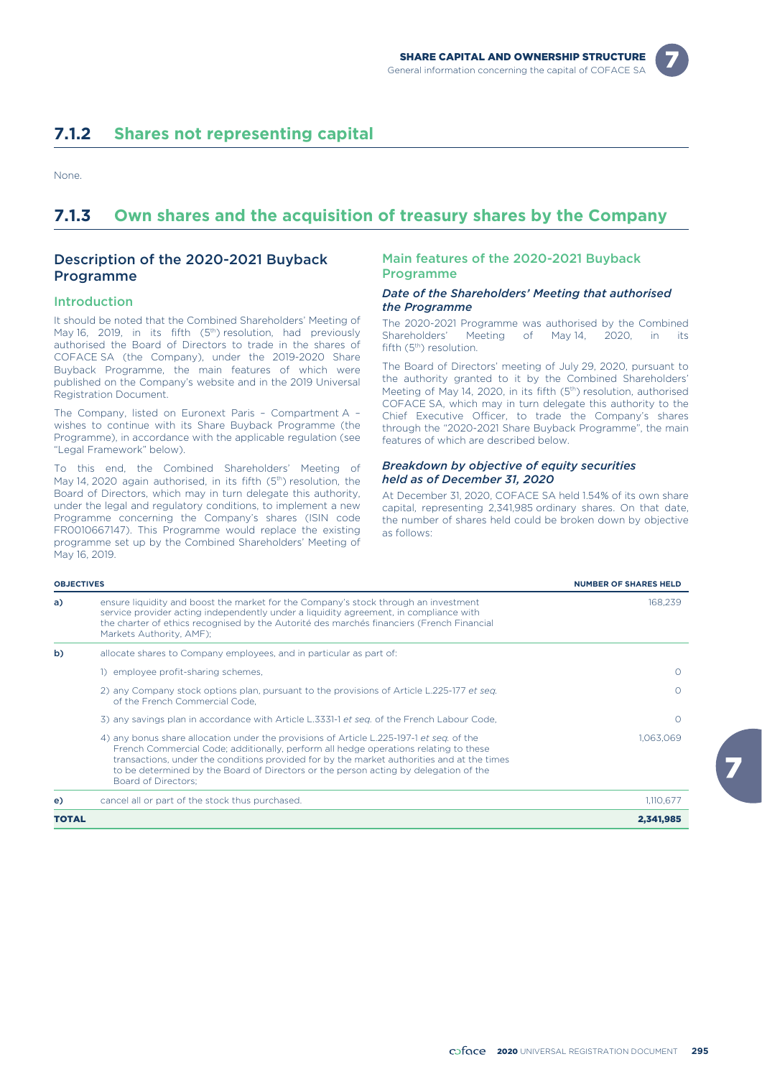

### **7.1.2 Shares not representing capital**

None.

### **7.1.3 Own shares and the acquisition of treasury shares by the Company**

#### Description of the 2020-2021 Buyback Programme

#### Introduction

It should be noted that the Combined Shareholders' Meeting of May 16, 2019, in its fifth (5<sup>th</sup>) resolution, had previously authorised the Board of Directors to trade in the shares of COFACE SA (the Company), under the 2019-2020 Share Buyback Programme, the main features of which were published on the Company's website and in the 2019 Universal Registration Document.

The Company, listed on Euronext Paris – Compartment A – wishes to continue with its Share Buyback Programme (the Programme), in accordance with the applicable regulation (see "Legal Framework" below).

To this end, the Combined Shareholders' Meeting of May 14, 2020 again authorised, in its fifth (5<sup>th</sup>) resolution, the Board of Directors, which may in turn delegate this authority, under the legal and regulatory conditions, to implement a new Programme concerning the Company's shares (ISIN code FR0010667147). This Programme would replace the existing programme set up by the Combined Shareholders' Meeting of May 16, 2019.

#### Main features of the 2020-2021 Buyback Programme

#### *Date of the Shareholders' Meeting that authorised the Programme*

The 2020-2021 Programme was authorised by the Combined Shareholders' Meeting of May 14, 2020, in its fifth (5<sup>th</sup>) resolution.

The Board of Directors' meeting of July 29, 2020, pursuant to the authority granted to it by the Combined Shareholders' Meeting of May 14, 2020, in its fifth (5<sup>th</sup>) resolution, authorised COFACE SA, which may in turn delegate this authority to the Chief Executive Officer, to trade the Company's shares through the "2020-2021 Share Buyback Programme", the main features of which are described below.

#### *Breakdown by objective of equity securities held as of December 31, 2020*

At December 31, 2020, COFACE SA held 1.54% of its own share capital, representing 2,341,985 ordinary shares. On that date, the number of shares held could be broken down by objective as follows:

| <b>OBJECTIVES</b> |                                                                                                                                                                                                                                                                                                                                                                                               | <b>NUMBER OF SHARES HELD</b> |
|-------------------|-----------------------------------------------------------------------------------------------------------------------------------------------------------------------------------------------------------------------------------------------------------------------------------------------------------------------------------------------------------------------------------------------|------------------------------|
| a)                | ensure liquidity and boost the market for the Company's stock through an investment<br>service provider acting independently under a liquidity agreement, in compliance with<br>the charter of ethics recognised by the Autorité des marchés financiers (French Financial<br>Markets Authority, AMF);                                                                                         | 168,239                      |
| b)                | allocate shares to Company employees, and in particular as part of:                                                                                                                                                                                                                                                                                                                           |                              |
|                   | 1) employee profit-sharing schemes,                                                                                                                                                                                                                                                                                                                                                           |                              |
|                   | 2) any Company stock options plan, pursuant to the provisions of Article L.225-177 et seg.<br>of the French Commercial Code.                                                                                                                                                                                                                                                                  |                              |
|                   | 3) any savings plan in accordance with Article L.3331-1 et seq. of the French Labour Code,                                                                                                                                                                                                                                                                                                    |                              |
|                   | 4) any bonus share allocation under the provisions of Article L.225-197-1 et seq. of the<br>French Commercial Code; additionally, perform all hedge operations relating to these<br>transactions, under the conditions provided for by the market authorities and at the times<br>to be determined by the Board of Directors or the person acting by delegation of the<br>Board of Directors: | 1.063.069                    |
| e)                | cancel all or part of the stock thus purchased.                                                                                                                                                                                                                                                                                                                                               | 1,110,677                    |
| <b>TOTAL</b>      |                                                                                                                                                                                                                                                                                                                                                                                               | 2,341,985                    |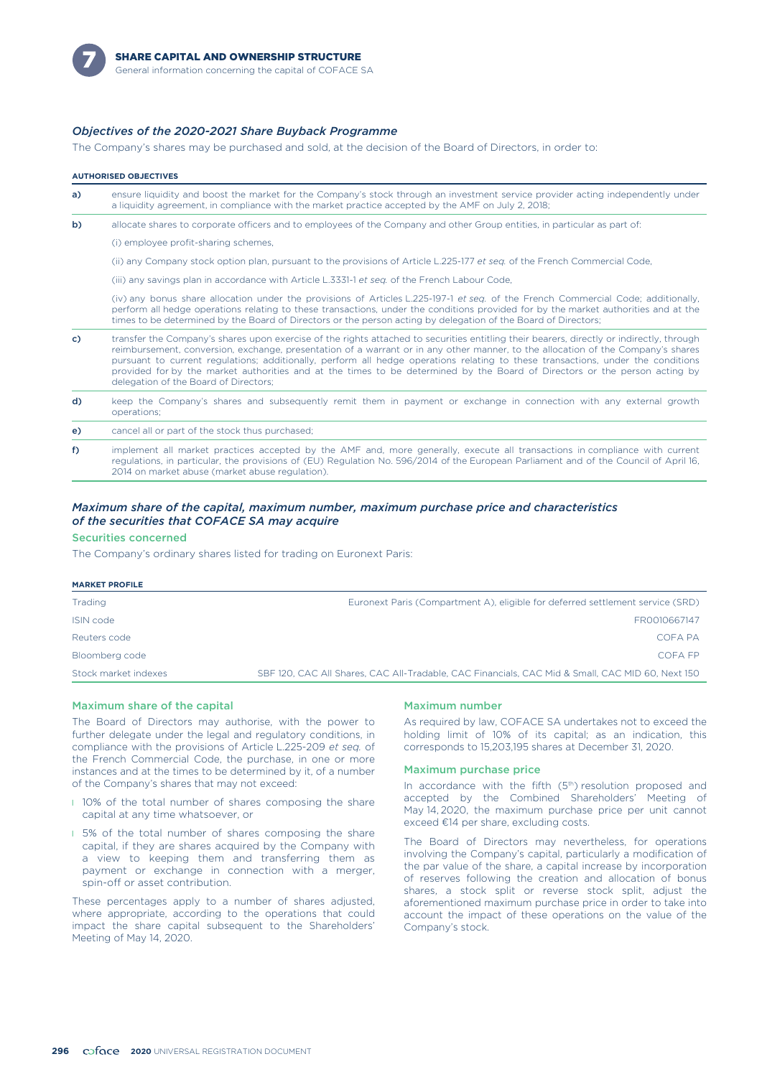

#### *Objectives of the 2020-2021 Share Buyback Programme*

The Company's shares may be purchased and sold, at the decision of the Board of Directors, in order to:

#### **AUTHORISED OBJECTIVES**

| ensure liquidity and boost the market for the Company's stock through an investment service provider acting independently under |
|---------------------------------------------------------------------------------------------------------------------------------|
| a liquidity agreement, in compliance with the market practice accepted by the AMF on July 2, 2018;                              |

b) allocate shares to corporate officers and to employees of the Company and other Group entities, in particular as part of:

(i) employee profit-sharing schemes,

(ii) any Company stock option plan, pursuant to the provisions of Article L.225-177 *et seq.* of the French Commercial Code,

(iii) any savings plan in accordance with Article L.3331-1 *et seq.* of the French Labour Code,

(iv) any bonus share allocation under the provisions of Articles L.225-197-1 *et seq.* of the French Commercial Code; additionally, perform all hedge operations relating to these transactions, under the conditions provided for by the market authorities and at the times to be determined by the Board of Directors or the person acting by delegation of the Board of Directors;

| C) | transfer the Company's shares upon exercise of the rights attached to securities entitling their bearers, directly or indirectly, through<br>reimbursement, conversion, exchange, presentation of a warrant or in any other manner, to the allocation of the Company's shares<br>pursuant to current regulations; additionally, perform all hedge operations relating to these transactions, under the conditions<br>provided for by the market authorities and at the times to be determined by the Board of Directors or the person acting by<br>delegation of the Board of Directors: |
|----|------------------------------------------------------------------------------------------------------------------------------------------------------------------------------------------------------------------------------------------------------------------------------------------------------------------------------------------------------------------------------------------------------------------------------------------------------------------------------------------------------------------------------------------------------------------------------------------|
| d) | keep the Company's shares and subsequently remit them in payment or exchange in connection with any external growth<br>operations:                                                                                                                                                                                                                                                                                                                                                                                                                                                       |

e) cancel all or part of the stock thus purchased;

f) implement all market practices accepted by the AMF and, more generally, execute all transactions in compliance with current regulations, in particular, the provisions of (EU) Regulation No. 596/2014 of the European Parliament and of the Council of April 16, 2014 on market abuse (market abuse regulation).

#### *Maximum share of the capital, maximum number, maximum purchase price and characteristics of the securities that COFACE SA may acquire*

#### Securities concerned

The Company's ordinary shares listed for trading on Euronext Paris:

| <b>MARKET PROFILE</b> |                                                                                                  |
|-----------------------|--------------------------------------------------------------------------------------------------|
| Trading               | Euronext Paris (Compartment A), eligible for deferred settlement service (SRD)                   |
| ISIN code             | FR0010667147                                                                                     |
| Reuters code          | COFA PA                                                                                          |
| Bloomberg code        | COFA FP                                                                                          |
| Stock market indexes  | SBF 120, CAC All Shares, CAC All-Tradable, CAC Financials, CAC Mid & Small, CAC MID 60, Next 150 |
|                       |                                                                                                  |

#### Maximum share of the capital

The Board of Directors may authorise, with the power to further delegate under the legal and regulatory conditions, in compliance with the provisions of Article L.225-209 *et seq.* of the French Commercial Code, the purchase, in one or more instances and at the times to be determined by it, of a number of the Company's shares that may not exceed:

- **10%** of the total number of shares composing the share capital at any time whatsoever, or
- **I** 5% of the total number of shares composing the share capital, if they are shares acquired by the Company with a view to keeping them and transferring them as payment or exchange in connection with a merger, spin-off or asset contribution.

These percentages apply to a number of shares adjusted, where appropriate, according to the operations that could impact the share capital subsequent to the Shareholders' Meeting of May 14, 2020.

#### Maximum number

As required by law, COFACE SA undertakes not to exceed the holding limit of 10% of its capital; as an indication, this corresponds to 15,203,195 shares at December 31, 2020.

#### Maximum purchase price

In accordance with the fifth  $(5<sup>th</sup>)$  resolution proposed and accepted by the Combined Shareholders' Meeting of May 14, 2020, the maximum purchase price per unit cannot exceed €14 per share, excluding costs.

The Board of Directors may nevertheless, for operations involving the Company's capital, particularly a modification of the par value of the share, a capital increase by incorporation of reserves following the creation and allocation of bonus shares, a stock split or reverse stock split, adjust the aforementioned maximum purchase price in order to take into account the impact of these operations on the value of the Company's stock.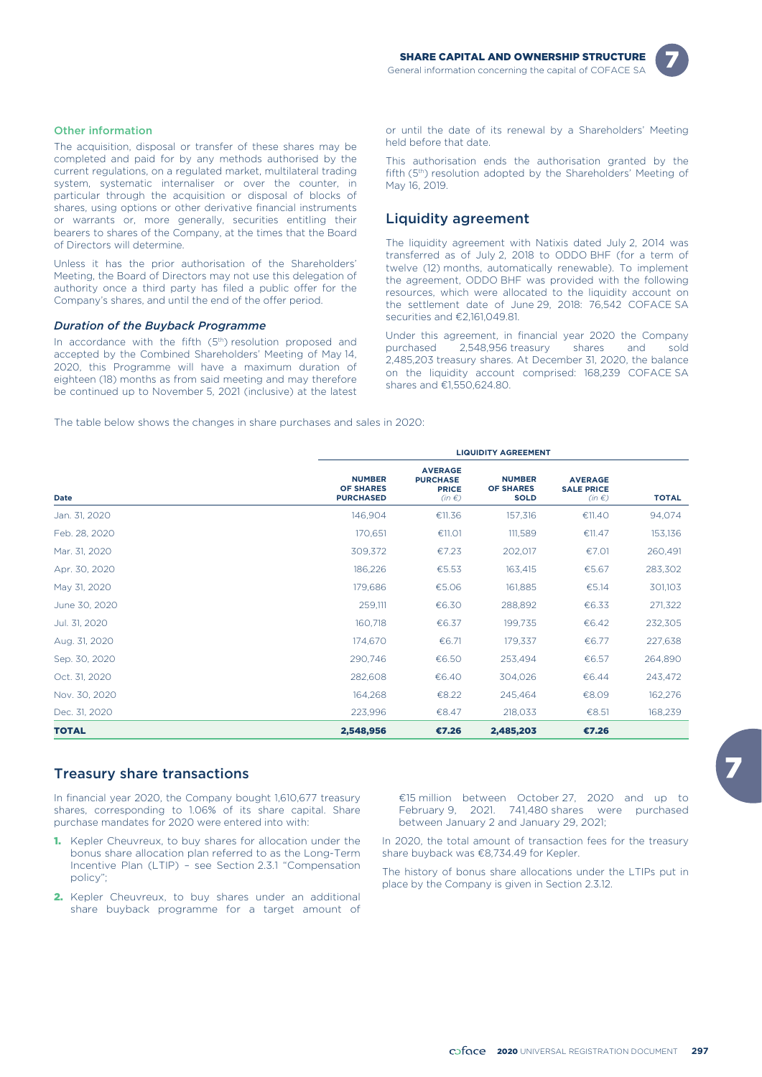

#### Other information

The acquisition, disposal or transfer of these shares may be completed and paid for by any methods authorised by the current regulations, on a regulated market, multilateral trading system, systematic internaliser or over the counter, in particular through the acquisition or disposal of blocks of shares, using options or other derivative financial instruments or warrants or, more generally, securities entitling their bearers to shares of the Company, at the times that the Board of Directors will determine.

Unless it has the prior authorisation of the Shareholders' Meeting, the Board of Directors may not use this delegation of authority once a third party has filed a public offer for the Company's shares, and until the end of the offer period.

#### *Duration of the Buyback Programme*

In accordance with the fifth  $(5<sup>th</sup>)$  resolution proposed and accepted by the Combined Shareholders' Meeting of May 14, 2020, this Programme will have a maximum duration of eighteen (18) months as from said meeting and may therefore be continued up to November 5, 2021 (inclusive) at the latest

or until the date of its renewal by a Shareholders' Meeting held before that date.

This authorisation ends the authorisation granted by the fifth (5<sup>th</sup>) resolution adopted by the Shareholders' Meeting of May 16, 2019.

#### Liquidity agreement

The liquidity agreement with Natixis dated July 2, 2014 was transferred as of July 2, 2018 to ODDO BHF (for a term of twelve (12) months, automatically renewable). To implement the agreement, ODDO BHF was provided with the following resources, which were allocated to the liquidity account on the settlement date of June 29, 2018: 76,542 COFACE SA securities and €2,161,049.81.

Under this agreement, in financial year 2020 the Company purchased 2,548,956 treasury shares and sold 2,485,203 treasury shares. At December 31, 2020, the balance on the liquidity account comprised: 168,239 COFACE SA shares and €1,550,624.80.

The table below shows the changes in share purchases and sales in 2020:

|               | <b>LIQUIDITY AGREEMENT</b>                            |                                                                 |                                                  |                                                   |              |  |  |  |
|---------------|-------------------------------------------------------|-----------------------------------------------------------------|--------------------------------------------------|---------------------------------------------------|--------------|--|--|--|
| Date          | <b>NUMBER</b><br><b>OF SHARES</b><br><b>PURCHASED</b> | <b>AVERAGE</b><br><b>PURCHASE</b><br><b>PRICE</b><br>$(in \in)$ | <b>NUMBER</b><br><b>OF SHARES</b><br><b>SOLD</b> | <b>AVERAGE</b><br><b>SALE PRICE</b><br>$(in \in)$ | <b>TOTAL</b> |  |  |  |
| Jan. 31, 2020 | 146,904                                               | €11.36                                                          | 157,316                                          | €11.40                                            | 94,074       |  |  |  |
| Feb. 28, 2020 | 170,651                                               | €11.01                                                          | 111,589                                          | €11.47                                            | 153,136      |  |  |  |
| Mar. 31, 2020 | 309,372                                               | €7.23                                                           | 202,017                                          | €7.01                                             | 260,491      |  |  |  |
| Apr. 30, 2020 | 186,226                                               | €5.53                                                           | 163,415                                          | €5.67                                             | 283,302      |  |  |  |
| May 31, 2020  | 179,686                                               | €5.06                                                           | 161,885                                          | €5.14                                             | 301,103      |  |  |  |
| June 30, 2020 | 259,111                                               | €6.30                                                           | 288,892                                          | €6.33                                             | 271,322      |  |  |  |
| Jul. 31, 2020 | 160,718                                               | €6.37                                                           | 199,735                                          | €6.42                                             | 232,305      |  |  |  |
| Aug. 31, 2020 | 174,670                                               | €6.71                                                           | 179,337                                          | €6.77                                             | 227,638      |  |  |  |
| Sep. 30, 2020 | 290,746                                               | €6.50                                                           | 253,494                                          | €6.57                                             | 264,890      |  |  |  |
| Oct. 31, 2020 | 282,608                                               | €6.40                                                           | 304,026                                          | €6.44                                             | 243,472      |  |  |  |
| Nov. 30, 2020 | 164,268                                               | €8.22                                                           | 245,464                                          | €8.09                                             | 162,276      |  |  |  |
| Dec. 31, 2020 | 223,996                                               | €8.47                                                           | 218,033                                          | €8.51                                             | 168,239      |  |  |  |
| <b>TOTAL</b>  | 2,548,956                                             | €7.26                                                           | 2,485,203                                        | €7,26                                             |              |  |  |  |

#### Treasury share transactions

In financial year 2020, the Company bought 1,610,677 treasury shares, corresponding to 1.06% of its share capital. Share purchase mandates for 2020 were entered into with:

- 1. Kepler Cheuvreux, to buy shares for allocation under the bonus share allocation plan referred to as the Long-Term Incentive Plan (LTIP) – see Section 2.3.1 "Compensation policy";
- 2. Kepler Cheuvreux, to buy shares under an additional share buyback programme for a target amount of

€15 million between October 27, 2020 and up to February 9, 2021. 741,480 shares were purchased between January 2 and January 29, 2021;

In 2020, the total amount of transaction fees for the treasury share buyback was €8,734.49 for Kepler.

The history of bonus share allocations under the LTIPs put in place by the Company is given in Section 2.3.12.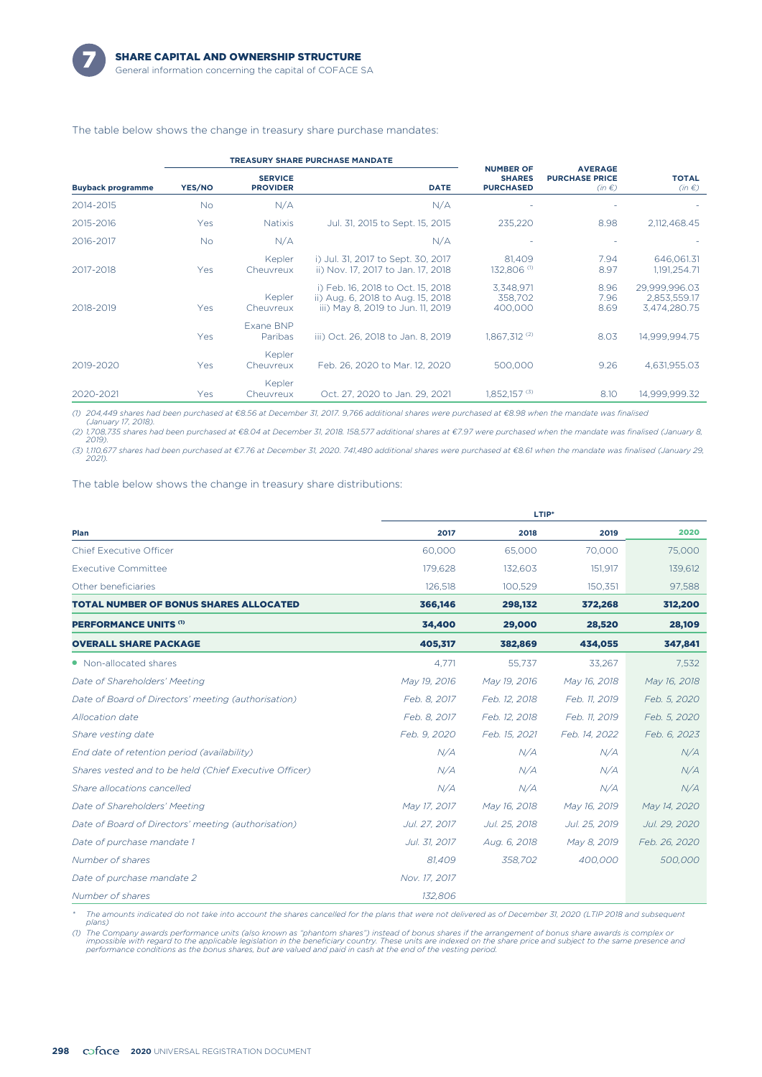

#### The table below shows the change in treasury share purchase mandates:

|                          |           |                                   | <b>TREASURY SHARE PURCHASE MANDATE</b>                                                                      |                                                       |                                                       | <b>TOTAL</b><br>$(in \in)$                    |
|--------------------------|-----------|-----------------------------------|-------------------------------------------------------------------------------------------------------------|-------------------------------------------------------|-------------------------------------------------------|-----------------------------------------------|
| <b>Buyback programme</b> | YES/NO    | <b>SERVICE</b><br><b>PROVIDER</b> | <b>DATE</b>                                                                                                 | <b>NUMBER OF</b><br><b>SHARES</b><br><b>PURCHASED</b> | <b>AVERAGE</b><br><b>PURCHASE PRICE</b><br>$(in \in)$ |                                               |
| 2014-2015                | No.       | N/A                               | N/A                                                                                                         |                                                       |                                                       |                                               |
| 2015-2016                | Yes       | <b>Natixis</b>                    | Jul. 31, 2015 to Sept. 15, 2015                                                                             | 235,220                                               | 8.98                                                  | 2,112,468.45                                  |
| 2016-2017                | <b>No</b> | N/A                               | N/A                                                                                                         |                                                       |                                                       |                                               |
| 2017-2018                | Yes       | Kepler<br>Cheuvreux               | i) Jul. 31, 2017 to Sept. 30, 2017<br>ii) Nov. 17, 2017 to Jan. 17, 2018                                    | 81,409<br>132,806 <sup>(1)</sup>                      | 7.94<br>8.97                                          | 646,061.31<br>1,191,254.71                    |
| 2018-2019                | Yes       | Kepler<br>Cheuvreux               | i) Feb. 16, 2018 to Oct. 15, 2018<br>ii) Aug. 6, 2018 to Aug. 15, 2018<br>iii) May 8, 2019 to Jun. 11, 2019 | 3,348,971<br>358.702<br>400,000                       | 8.96<br>7.96<br>8.69                                  | 29.999.996.03<br>2,853,559.17<br>3,474,280.75 |
|                          | Yes       | Exane BNP<br>Paribas              | iii) Oct. 26, 2018 to Jan. 8, 2019                                                                          | $1.867.312^{(2)}$                                     | 8.03                                                  | 14.999.994.75                                 |
| 2019-2020                | Yes       | Kepler<br>Cheuvreux               | Feb. 26, 2020 to Mar. 12, 2020                                                                              | 500.000                                               | 9.26                                                  | 4,631,955.03                                  |
| 2020-2021                | Yes       | Kepler<br>Cheuvreux               | Oct. 27, 2020 to Jan. 29, 2021                                                                              | $1,852,157$ $^{(3)}$                                  | 8.10                                                  | 14.999.999.32                                 |

*(1) 204,449 shares had been purchased at €8.56 at December 31, 2017. 9,766 additional shares were purchased at €8.98 when the mandate was finalised*

*(January 17, 2018). (2) 1,708,735 shares had been purchased at €8.04 at December 31, 2018. 158,577 additional shares at €7.97 were purchased when the mandate was finalised (January 8, 2019).*

*(3) 1,110,677 shares had been purchased at €7.76 at December 31, 2020. 741,480 additional shares were purchased at €8.61 when the mandate was finalised (January 29, 2021).*

The table below shows the change in treasury share distributions:

|                                                        | LTIP*         |               |               |               |  |  |  |  |
|--------------------------------------------------------|---------------|---------------|---------------|---------------|--|--|--|--|
| Plan                                                   | 2017          | 2018          | 2019          | 2020          |  |  |  |  |
| <b>Chief Executive Officer</b>                         | 60,000        | 65,000        | 70,000        | 75,000        |  |  |  |  |
| <b>Executive Committee</b>                             | 179,628       | 132,603       | 151,917       | 139,612       |  |  |  |  |
| Other beneficiaries                                    | 126,518       | 100,529       | 150,351       | 97,588        |  |  |  |  |
| <b>TOTAL NUMBER OF BONUS SHARES ALLOCATED</b>          | 366,146       | 298,132       | 372,268       | 312,200       |  |  |  |  |
| <b>PERFORMANCE UNITS (1)</b>                           | 34,400        | 29,000        | 28,520        | 28,109        |  |  |  |  |
| <b>OVERALL SHARE PACKAGE</b>                           | 405,317       | 382,869       | 434,055       | 347,841       |  |  |  |  |
| • Non-allocated shares                                 | 4.771         | 55.737        | 33,267        | 7,532         |  |  |  |  |
| Date of Shareholders' Meeting                          | May 19, 2016  | May 19, 2016  | May 16, 2018  | May 16, 2018  |  |  |  |  |
| Date of Board of Directors' meeting (authorisation)    | Feb. 8, 2017  | Feb. 12, 2018 | Feb. 11, 2019 | Feb. 5, 2020  |  |  |  |  |
| Allocation date                                        | Feb. 8, 2017  | Feb. 12, 2018 | Feb. 11, 2019 | Feb. 5, 2020  |  |  |  |  |
| Share vesting date                                     | Feb. 9, 2020  | Feb. 15, 2021 | Feb. 14, 2022 | Feb. 6, 2023  |  |  |  |  |
| End date of retention period (availability)            | N/A           | N/A           | N/A           | N/A           |  |  |  |  |
| Shares vested and to be held (Chief Executive Officer) | N/A           | N/A           | N/A           | N/A           |  |  |  |  |
| Share allocations cancelled                            | N/A           | N/A           | N/A           | N/A           |  |  |  |  |
| Date of Shareholders' Meeting                          | May 17, 2017  | May 16, 2018  | May 16, 2019  | May 14, 2020  |  |  |  |  |
| Date of Board of Directors' meeting (authorisation)    | Jul. 27, 2017 | Jul. 25, 2018 | Jul. 25, 2019 | Jul. 29, 2020 |  |  |  |  |
| Date of purchase mandate 1                             | Jul. 31, 2017 | Aug. 6, 2018  | May 8, 2019   | Feb. 26, 2020 |  |  |  |  |
| Number of shares                                       | 81.409        | 358,702       | 400,000       | 500,000       |  |  |  |  |
| Date of purchase mandate 2                             | Nov. 17, 2017 |               |               |               |  |  |  |  |
| Number of shares                                       | 132,806       |               |               |               |  |  |  |  |

*\* The amounts indicated do not take into account the shares cancelled for the plans that were not delivered as of December 31, 2020 (LTIP 2018 and subsequent plans)*

(1) The Company awards performance units (also known as "phantom shares") instead of bonus shares if the arrangement of bonus share awards is complex or<br>impossible with regard to the applicable legislation in the beneficia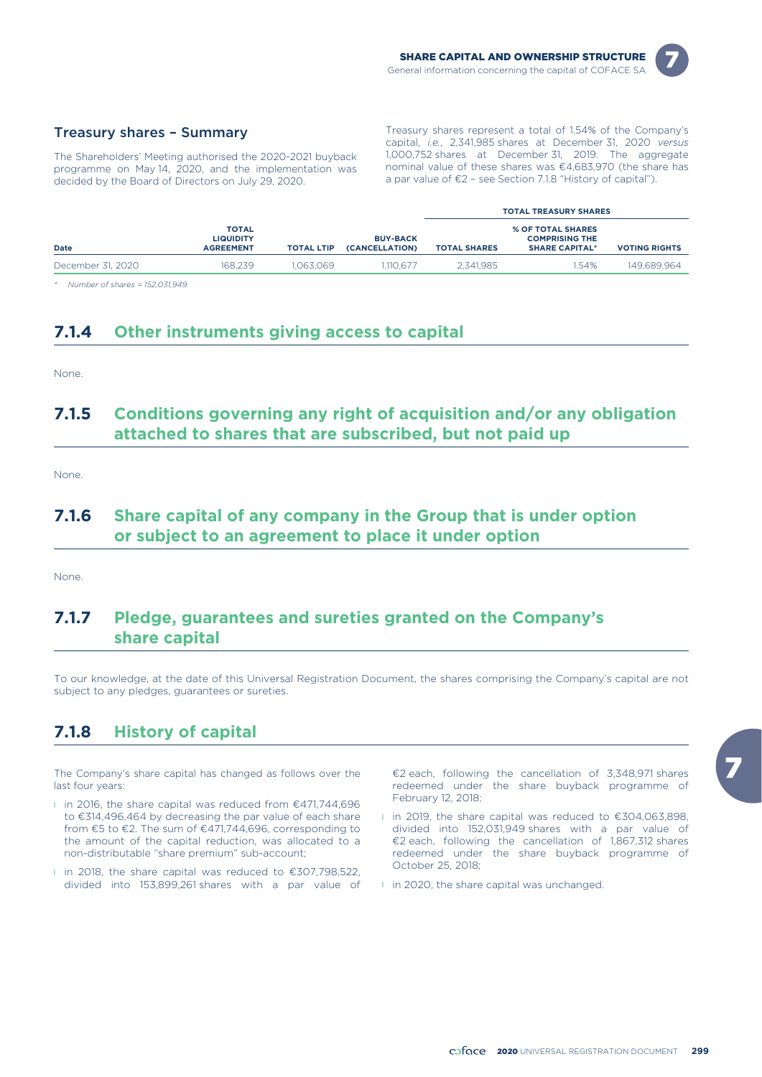

#### Treasury shares – Summary

The Shareholders' Meeting authorised the 2020-2021 buyback programme on May 14, 2020, and the implementation was decided by the Board of Directors on July 29, 2020.

Treasury shares represent a total of 1.54% of the Company's capital, *i.e.*, 2,341,985 shares at December 31, 2020 *versus* 1,000,752 shares at December 31, 2019. The aggregate nominal value of these shares was €4,683,970 (the share has a par value of €2 – see Section 7.1.8 "History of capital").

|                   |                                               |                   |                                   | <b>TOTAL TREASURY SHARES</b> |                                                                            |                      |  |  |
|-------------------|-----------------------------------------------|-------------------|-----------------------------------|------------------------------|----------------------------------------------------------------------------|----------------------|--|--|
| <b>Date</b>       | TOTAL<br><b>LIQUIDITY</b><br><b>AGREEMENT</b> | <b>TOTAL LTIP</b> | <b>BUY-BACK</b><br>(CANCELLATION) | <b>TOTAL SHARES</b>          | <b>% OF TOTAL SHARES</b><br><b>COMPRISING THE</b><br><b>SHARE CAPITAL*</b> | <b>VOTING RIGHTS</b> |  |  |
| December 31, 2020 | 168.239                                       | .063.069          | 1.110.677                         | 2.341.985                    | 1.54%                                                                      | 149.689.964          |  |  |

*\* Number of shares = 152,031,949.*

### **7.1.4 Other instruments giving access to capital**

None.

### **7.1.5 Conditions governing any right of acquisition and/or any obligation attached to shares that are subscribed, but not paid up**

None.

### **7.1.6 Share capital of any company in the Group that is under option or subject to an agreement to place it under option**

None.

### **7.1.7 Pledge, guarantees and sureties granted on the Company's share capital**

To our knowledge, at the date of this Universal Registration Document, the shares comprising the Company's capital are not subject to any pledges, guarantees or sureties.

### **7.1.8 History of capital**

The Company's share capital has changed as follows over the last four years:

- l in 2016, the share capital was reduced from €471,744,696 to €314,496,464 by decreasing the par value of each share from €5 to €2. The sum of €471,744,696, corresponding to the amount of the capital reduction, was allocated to a non-distributable "share premium" sub-account;
- l in 2018, the share capital was reduced to €307,798,522, divided into 153,899,261 shares with a par value of

€2 each, following the cancellation of 3,348,971 shares redeemed under the share buyback programme of February 12, 2018;

- l in 2019, the share capital was reduced to €304,063,898, divided into 152,031,949 shares with a par value of €2 each, following the cancellation of 1,867,312 shares redeemed under the share buyback programme of October 25, 2018;
- l in 2020, the share capital was unchanged.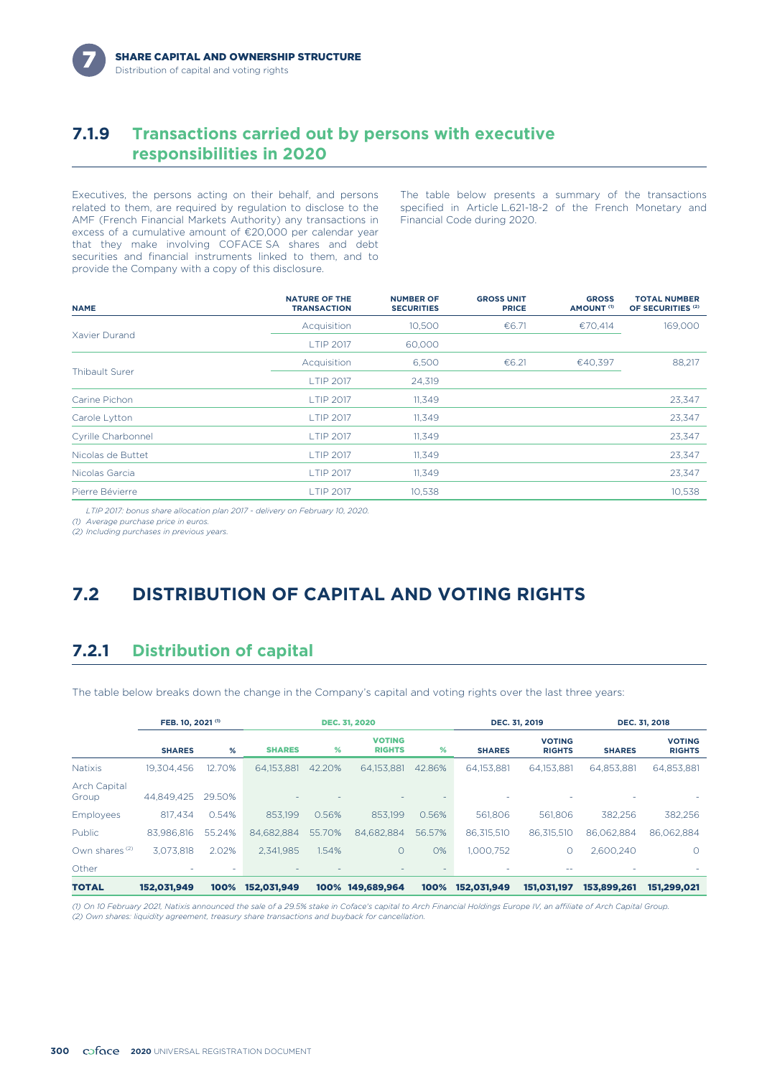### **7.1.9 Transactions carried out by persons with executive responsibilities in 2020**

Executives, the persons acting on their behalf, and persons related to them, are required by regulation to disclose to the AMF (French Financial Markets Authority) any transactions in excess of a cumulative amount of €20,000 per calendar year that they make involving COFACE SA shares and debt securities and financial instruments linked to them, and to provide the Company with a copy of this disclosure.

The table below presents a summary of the transactions specified in Article L.621-18-2 of the French Monetary and Financial Code during 2020.

| <b>NAME</b>           | <b>NATURE OF THE</b><br><b>TRANSACTION</b> | <b>NUMBER OF</b><br><b>SECURITIES</b> | <b>GROSS UNIT</b><br><b>PRICE</b> | <b>GROSS</b><br>AMOUNT <sup>(1)</sup> | <b>TOTAL NUMBER</b><br>OF SECURITIES <sup>(2)</sup> |
|-----------------------|--------------------------------------------|---------------------------------------|-----------------------------------|---------------------------------------|-----------------------------------------------------|
|                       | Acquisition                                | 10.500                                | €6.71                             | €70,414                               | 169,000                                             |
| Xavier Durand         | <b>LTIP 2017</b>                           | 60,000                                |                                   |                                       |                                                     |
|                       | Acquisition                                | 6,500                                 | €6.21                             | €40,397                               | 88,217                                              |
| <b>Thibault Surer</b> | <b>LTIP 2017</b>                           | 24,319                                |                                   |                                       |                                                     |
| Carine Pichon         | <b>LTIP 2017</b>                           | 11,349                                |                                   |                                       | 23,347                                              |
| Carole Lytton         | <b>LTIP 2017</b>                           | 11,349                                |                                   |                                       | 23,347                                              |
| Cyrille Charbonnel    | <b>LTIP 2017</b>                           | 11,349                                |                                   |                                       | 23,347                                              |
| Nicolas de Buttet     | <b>LTIP 2017</b>                           | 11,349                                |                                   |                                       | 23,347                                              |
| Nicolas Garcia        | <b>LTIP 2017</b>                           | 11,349                                |                                   |                                       | 23,347                                              |
| Pierre Bévierre       | <b>LTIP 2017</b>                           | 10.538                                |                                   |                                       | 10,538                                              |

*LTIP 2017: bonus share allocation plan 2017 - delivery on February 10, 2020.*

*(1) Average purchase price in euros.*

*(2) Including purchases in previous years.*

# **7.2 DISTRIBUTION OF CAPITAL AND VOTING RIGHTS**

### **7.2.1 Distribution of capital**

The table below breaks down the change in the Company's capital and voting rights over the last three years:

|                              | FEB. 10, 2021 <sup>(1)</sup> |        | <b>DEC. 31, 2020</b>     |        |                                | DEC. 31, 2019 |               | DEC. 31, 2018                  |               |                                |
|------------------------------|------------------------------|--------|--------------------------|--------|--------------------------------|---------------|---------------|--------------------------------|---------------|--------------------------------|
|                              | <b>SHARES</b>                | %      | <b>SHARES</b>            | %      | <b>VOTING</b><br><b>RIGHTS</b> | %             | <b>SHARES</b> | <b>VOTING</b><br><b>RIGHTS</b> | <b>SHARES</b> | <b>VOTING</b><br><b>RIGHTS</b> |
| <b>Natixis</b>               | 19.304.456                   | 12.70% | 64.153.881               | 42.20% | 64.153.881                     | 42.86%        | 64.153.881    | 64.153.881                     | 64.853.881    | 64,853,881                     |
| <b>Arch Capital</b><br>Group | 44.849.425                   | 29.50% | $\overline{\phantom{a}}$ |        |                                |               |               |                                |               |                                |
| Employees                    | 817.434                      | 0.54%  | 853.199                  | 0.56%  | 853.199                        | 0.56%         | 561,806       | 561.806                        | 382.256       | 382,256                        |
| Public                       | 83.986.816                   | 55.24% | 84.682.884               | 55.70% | 84.682.884                     | 56.57%        | 86.315.510    | 86.315.510                     | 86.062.884    | 86.062.884                     |
| Own shares <sup>(2)</sup>    | 3.073.818                    | 2.02%  | 2.341.985                | 1.54%  | $\circ$                        | 0%            | 1.000.752     | $\circ$                        | 2.600.240     | $\Omega$                       |
| Other                        |                              |        |                          |        |                                |               |               |                                |               |                                |
| <b>TOTAL</b>                 | 152.031.949                  | 100%   | 152,031,949              | 100%   | 149,689,964                    | 100%          | 152.031.949   | 151.031.197                    | 153,899,261   | 151.299.021                    |

*(1) On 10 February 2021, Natixis announced the sale of a 29.5% stake in Coface's capital to Arch Financial Holdings Europe IV, an affiliate of Arch Capital Group. (2) Own shares: liquidity agreement, treasury share transactions and buyback for cancellation.*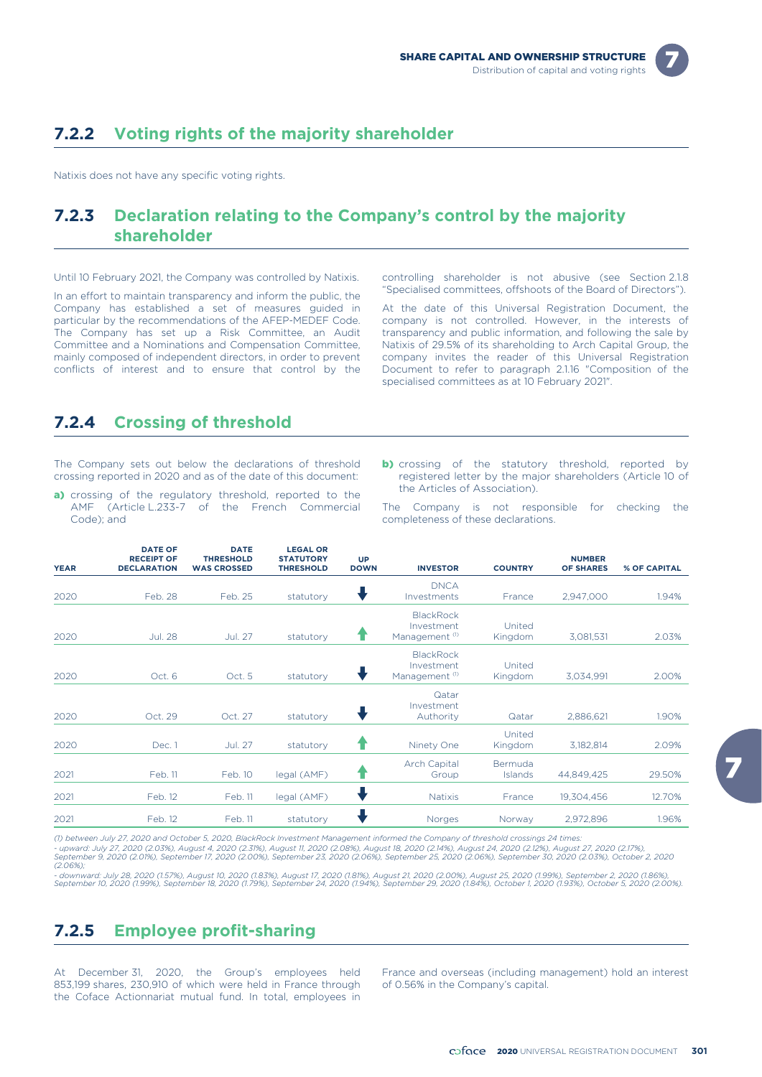# **7.2.2 Voting rights of the majority shareholder**

Natixis does not have any specific voting rights.

## **7.2.3 Declaration relating to the Company's control by the majority shareholder**

Until 10 February 2021, the Company was controlled by Natixis. controlling shareholder is not abusive (see Section 2.1.8

"Specialised committees, offshoots of the Board of Directors"). In an effort to maintain transparency and inform the public, the Company has established a set of measures guided in particular by the recommendations of the AFEP-MEDEF Code. The Company has set up a Risk Committee, an Audit Committee and a Nominations and Compensation Committee, mainly composed of independent directors, in order to prevent conflicts of interest and to ensure that control by the

At the date of this Universal Registration Document, the company is not controlled. However, in the interests of transparency and public information, and following the sale by Natixis of 29.5% of its shareholding to Arch Capital Group, the company invites the reader of this Universal Registration Document to refer to paragraph 2.1.16 "Composition of the specialised committees as at 10 February 2021".

### **7.2.4 Crossing of threshold**

The Company sets out below the declarations of threshold crossing reported in 2020 and as of the date of this document:

- a) crossing of the regulatory threshold, reported to the AMF (Article L.233-7 of the French Commercial Code); and
- **b)** crossing of the statutory threshold, reported by registered letter by the major shareholders (Article 10 of the Articles of Association).

The Company is not responsible for checking the completeness of these declarations.

| <b>YEAR</b> | <b>DATE OF</b><br><b>RECEIPT OF</b><br><b>DECLARATION</b> | <b>DATE</b><br><b>THRESHOLD</b><br><b>WAS CROSSED</b> | <b>LEGAL OR</b><br><b>STATUTORY</b><br><b>THRESHOLD</b> | <b>UP</b><br><b>DOWN</b> | <b>INVESTOR</b>                                             | <b>COUNTRY</b>            | <b>NUMBER</b><br><b>OF SHARES</b> | % OF CAPITAL |
|-------------|-----------------------------------------------------------|-------------------------------------------------------|---------------------------------------------------------|--------------------------|-------------------------------------------------------------|---------------------------|-----------------------------------|--------------|
| 2020        | Feb. 28                                                   | Feb. 25                                               | statutory                                               |                          | <b>DNCA</b><br>Investments                                  | France                    | 2,947,000                         | 1.94%        |
| 2020        | <b>Jul. 28</b>                                            | <b>Jul. 27</b>                                        | statutory                                               | Т                        | <b>BlackRock</b><br>Investment<br>Management <sup>(1)</sup> | United<br>Kingdom         | 3,081,531                         | 2.03%        |
| 2020        | Oct. 6                                                    | Oct. 5                                                | statutory                                               | v                        | <b>BlackRock</b><br>Investment<br>Management <sup>(1)</sup> | United<br>Kingdom         | 3,034,991                         | 2.00%        |
| 2020        | Oct. 29                                                   | Oct. 27                                               | statutory                                               |                          | Qatar<br>Investment<br>Authority                            | Qatar                     | 2,886,621                         | 1.90%        |
| 2020        | Dec. 1                                                    | <b>Jul. 27</b>                                        | statutory                                               | Т                        | Ninety One                                                  | United<br>Kingdom         | 3,182,814                         | 2.09%        |
| 2021        | Feb. 11                                                   | Feb. 10                                               | legal (AMF)                                             |                          | <b>Arch Capital</b><br>Group                                | Bermuda<br><b>Islands</b> | 44,849,425                        | 29.50%       |
| 2021        | Feb. 12                                                   | Feb. 11                                               | legal (AMF)                                             |                          | <b>Natixis</b>                                              | France                    | 19,304,456                        | 12.70%       |
| 2021        | Feb. 12                                                   | Feb. 11                                               | statutory                                               |                          | Norges                                                      | Norway                    | 2,972,896                         | 1.96%        |

(1) between July 27, 2020 and October 5, 2020, BlackRock Investment Management informed the Company of threshold crossings 24 times:<br>- upward: July 27, 2020 (2.03%), August 4, 2020 (2.31%), August 11, 2020 (2.08%), August

- downward: July 28, 2020 (1.57%), August 10, 2020 (1.83%), August 17, 2020 (1.81%), August 21, 2020 (2.00%), August 25, 2020 (1.99%), September 2, 2020 (1.86%),<br>September 10, 2020 (1.99%), September 18, 2020 (1.79%), Sept

### **7.2.5 Employee profit-sharing**

853,199 shares, 230,910 of which were held in France through the Coface Actionnariat mutual fund. In total, employees in

At December 31, 2020, the Group's employees held France and overseas (including management) hold an interest 853,199 shares, 230,910 of which were held in France through of 0.56% in the Company's capital.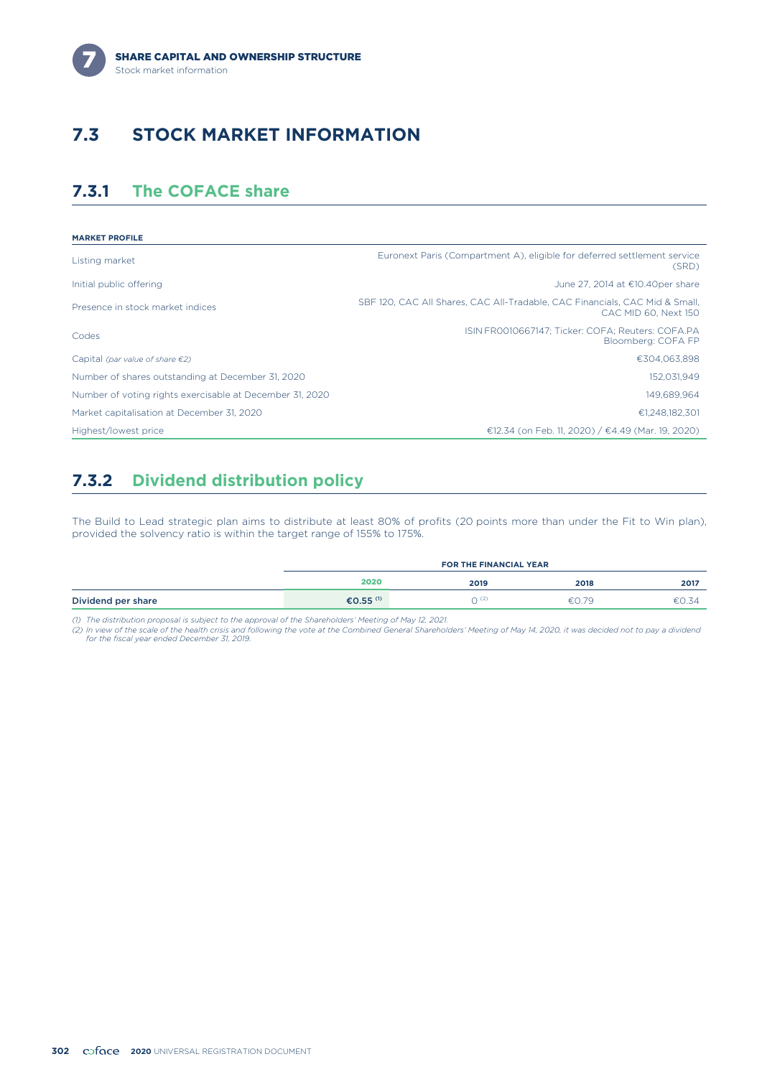

# **7.3 STOCK MARKET INFORMATION**

### **7.3.1 The COFACE share**

| <b>MARKET PROFILE</b>                                    |                                                                                                     |
|----------------------------------------------------------|-----------------------------------------------------------------------------------------------------|
| Listing market                                           | Euronext Paris (Compartment A), eligible for deferred settlement service<br>(SRD)                   |
| Initial public offering                                  | June 27, 2014 at €10.40per share                                                                    |
| Presence in stock market indices                         | SBF 120, CAC All Shares, CAC All-Tradable, CAC Financials, CAC Mid & Small,<br>CAC MID 60, Next 150 |
| Codes                                                    | ISIN FR0010667147: Ticker: COFA: Reuters: COFA.PA<br>Bloomberg: COFA FP                             |
| Capital (par value of share $\epsilon$ 2)                | €304,063,898                                                                                        |
| Number of shares outstanding at December 31, 2020        | 152,031,949                                                                                         |
| Number of voting rights exercisable at December 31, 2020 | 149.689.964                                                                                         |
| Market capitalisation at December 31, 2020               | €1.248.182.301                                                                                      |
| Highest/lowest price                                     | €12.34 (on Feb. 11, 2020) / €4.49 (Mar. 19, 2020)                                                   |

### **7.3.2 Dividend distribution policy**

The Build to Lead strategic plan aims to distribute at least 80% of profits (20 points more than under the Fit to Win plan), provided the solvency ratio is within the target range of 155% to 175%.

|                    | <b>FOR THE FINANCIAL YEAR</b> |       |       |       |  |
|--------------------|-------------------------------|-------|-------|-------|--|
|                    | 2020                          | 2019  | 2018  | 2017  |  |
| Dividend per share | €0.55 <sup>(1)</sup>          | ገ (2, | €0.79 | €0.34 |  |

(1) The distribution proposal is subject to the approval of the Shareholders' Meeting of May 12, 2021.<br>(2) In view of the scale of the health crisis and following the vote at the Combined General Shareholders' Meeting of M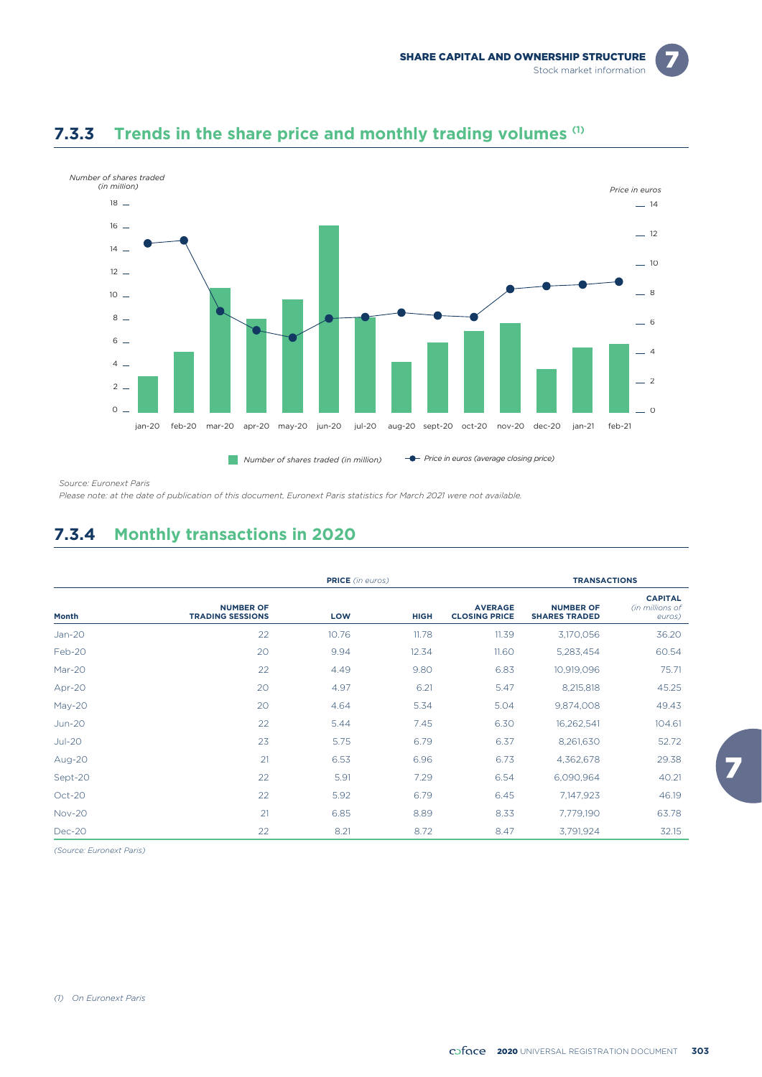

### **7.3.3** Trends in the share price and monthly trading volumes (1)

*Source: Euronext Paris*

*Please note: at the date of publication of this document, Euronext Paris statistics for March 2021 were not available.*

### **7.3.4 Monthly transactions in 2020**

|               |                                             | <b>PRICE</b> (in euros) |             |                                        |                                          | <b>TRANSACTIONS</b>                         |  |
|---------------|---------------------------------------------|-------------------------|-------------|----------------------------------------|------------------------------------------|---------------------------------------------|--|
| Month         | <b>NUMBER OF</b><br><b>TRADING SESSIONS</b> | LOW                     | <b>HIGH</b> | <b>AVERAGE</b><br><b>CLOSING PRICE</b> | <b>NUMBER OF</b><br><b>SHARES TRADED</b> | <b>CAPITAL</b><br>(in millions of<br>euros) |  |
| $Jan-20$      | 22                                          | 10.76                   | 11.78       | 11.39                                  | 3,170,056                                | 36.20                                       |  |
| Feb-20        | 20                                          | 9.94                    | 12.34       | 11.60                                  | 5,283,454                                | 60.54                                       |  |
| Mar-20        | 22                                          | 4.49                    | 9.80        | 6.83                                   | 10,919,096                               | 75.71                                       |  |
| Apr-20        | 20                                          | 4.97                    | 6.21        | 5.47                                   | 8,215,818                                | 45.25                                       |  |
| $May-20$      | 20                                          | 4.64                    | 5.34        | 5.04                                   | 9,874,008                                | 49.43                                       |  |
| $Jun-20$      | 22                                          | 5.44                    | 7.45        | 6.30                                   | 16,262,541                               | 104.61                                      |  |
| $Jul-20$      | 23                                          | 5.75                    | 6.79        | 6.37                                   | 8,261,630                                | 52.72                                       |  |
| Aug-20        | 21                                          | 6.53                    | 6.96        | 6.73                                   | 4,362,678                                | 29.38                                       |  |
| Sept-20       | 22                                          | 5.91                    | 7.29        | 6.54                                   | 6,090,964                                | 40.21                                       |  |
| Oct-20        | 22                                          | 5.92                    | 6.79        | 6.45                                   | 7,147,923                                | 46.19                                       |  |
| <b>Nov-20</b> | 21                                          | 6.85                    | 8.89        | 8.33                                   | 7,779,190                                | 63.78                                       |  |
| Dec-20        | 22                                          | 8.21                    | 8.72        | 8.47                                   | 3,791,924                                | 32.15                                       |  |

*(Source: Euronext Paris)*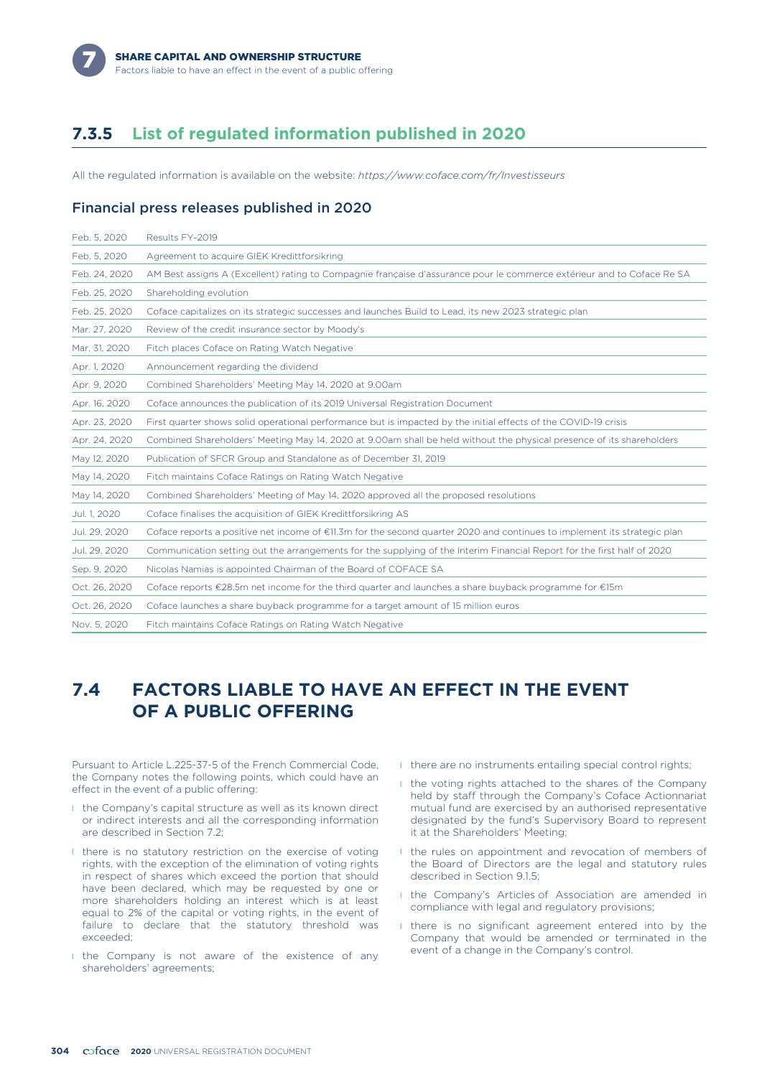

### **7.3.5 List of regulated information published in 2020**

All the regulated information is available on the website: *https://www.coface.com/fr/Investisseurs*

#### Financial press releases published in 2020

| Feb. 5, 2020  | Results FY-2019                                                                                                          |
|---------------|--------------------------------------------------------------------------------------------------------------------------|
| Feb. 5, 2020  | Agreement to acquire GIEK Kredittforsikring                                                                              |
| Feb. 24, 2020 | AM Best assigns A (Excellent) rating to Compagnie francaise d'assurance pour le commerce extérieur and to Coface Re SA   |
| Feb. 25, 2020 | Shareholding evolution                                                                                                   |
| Feb. 25, 2020 | Coface capitalizes on its strategic successes and launches Build to Lead, its new 2023 strategic plan                    |
| Mar. 27, 2020 | Review of the credit insurance sector by Moody's                                                                         |
| Mar. 31, 2020 | Fitch places Coface on Rating Watch Negative                                                                             |
| Apr. 1, 2020  | Announcement regarding the dividend                                                                                      |
| Apr. 9, 2020  | Combined Shareholders' Meeting May 14, 2020 at 9.00am                                                                    |
| Apr. 16, 2020 | Coface announces the publication of its 2019 Universal Registration Document                                             |
| Apr. 23, 2020 | First quarter shows solid operational performance but is impacted by the initial effects of the COVID-19 crisis          |
| Apr. 24, 2020 | Combined Shareholders' Meeting May 14, 2020 at 9.00am shall be held without the physical presence of its shareholders    |
| May 12, 2020  | Publication of SFCR Group and Standalone as of December 31, 2019                                                         |
| May 14, 2020  | Fitch maintains Coface Ratings on Rating Watch Negative                                                                  |
| May 14, 2020  | Combined Shareholders' Meeting of May 14, 2020 approved all the proposed resolutions                                     |
| Jul. 1, 2020  | Coface finalises the acquisition of GIEK Kredittforsikring AS                                                            |
| Jul. 29, 2020 | Coface reports a positive net income of €11.3m for the second quarter 2020 and continues to implement its strategic plan |
| Jul. 29, 2020 | Communication setting out the arrangements for the supplying of the Interim Financial Report for the first half of 2020  |
| Sep. 9, 2020  | Nicolas Namias is appointed Chairman of the Board of COFACE SA                                                           |
| Oct. 26, 2020 | Coface reports €28.5m net income for the third quarter and launches a share buyback programme for €15m                   |
| Oct. 26, 2020 | Coface launches a share buyback programme for a target amount of 15 million euros                                        |
| Nov. 5, 2020  | Fitch maintains Coface Ratings on Rating Watch Negative                                                                  |

### **7.4 FACTORS LIABLE TO HAVE AN EFFECT IN THE EVENT OF A PUBLIC OFFERING**

Pursuant to Article L.225-37-5 of the French Commercial Code, the Company notes the following points, which could have an effect in the event of a public offering:

- **I** the Company's capital structure as well as its known direct or indirect interests and all the corresponding information are described in Section 7.2;
- **I** there is no statutory restriction on the exercise of voting rights, with the exception of the elimination of voting rights in respect of shares which exceed the portion that should have been declared, which may be requested by one or more shareholders holding an interest which is at least equal to 2% of the capital or voting rights, in the event of failure to declare that the statutory threshold was exceeded;
- I the Company is not aware of the existence of any shareholders' agreements;
- I there are no instruments entailing special control rights;
- I the voting rights attached to the shares of the Company held by staff through the Company's Coface Actionnariat mutual fund are exercised by an authorised representative designated by the fund's Supervisory Board to represent it at the Shareholders' Meeting;
- I the rules on appointment and revocation of members of the Board of Directors are the legal and statutory rules described in Section 9.1.5;
- **I** the Company's Articles of Association are amended in compliance with legal and regulatory provisions;
- I there is no significant agreement entered into by the Company that would be amended or terminated in the event of a change in the Company's control.